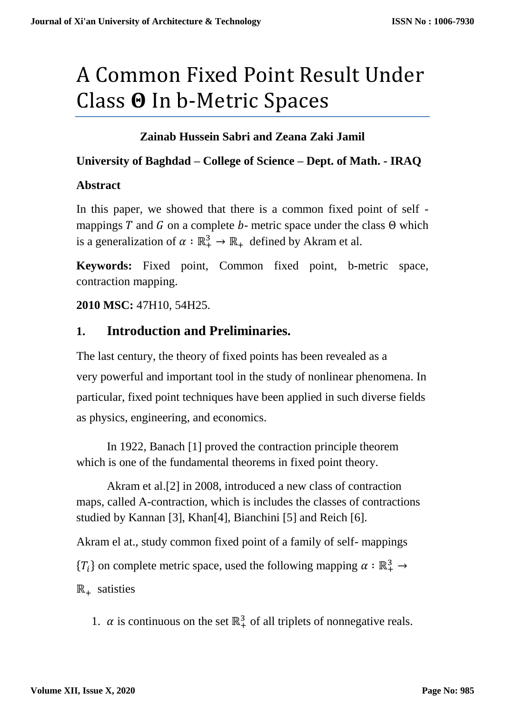# A Common Fixed Point Result Under Class  $\Theta$  In b-Metric Spaces

# **Zainab Hussein Sabri and Zeana Zaki Jamil**

#### **University of Baghdad – College of Science – Dept. of Math. - IRAQ**

#### **Abstract**

In this paper, we showed that there is a common fixed point of self mappings T and G on a complete b- metric space under the class  $\Theta$  which is a generalization of  $\alpha : \mathbb{R}^3_+ \to \mathbb{R}_+$  defined by Akram et al.

**Keywords:** Fixed point, Common fixed point, b-metric space, contraction mapping.

## **2010 MSC:** 47H10, 54H25.

# **1. Introduction and Preliminaries.**

The last century, the theory of fixed points has been revealed as a very powerful and important tool in the study of nonlinear phenomena. In particular, fixed point techniques have been applied in such diverse fields as physics, engineering, and economics.

In 1922, Banach [1] proved the contraction principle theorem which is one of the fundamental theorems in fixed point theory.

Akram et al.[2] in 2008, introduced a new class of contraction maps, called A-contraction, which is includes the classes of contractions studied by Kannan [3], Khan[4], Bianchini [5] and Reich [6].

Akram el at., study common fixed point of a family of self- mappings  ${T_i}$  on complete metric space, used the following mapping  $\alpha : \mathbb{R}^3_+ \to$  $\mathbb{R}_+$  satisties

1.  $\alpha$  is continuous on the set  $\mathbb{R}^3_+$  of all triplets of nonnegative reals.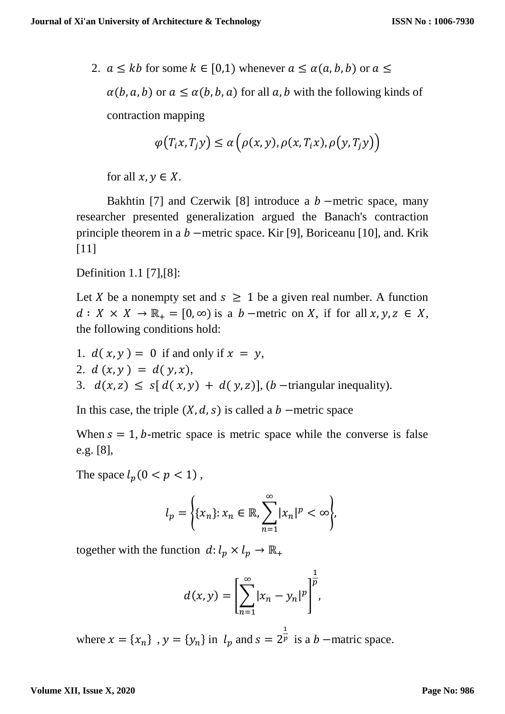2.  $a \leq kb$  for some  $k \in [0,1)$  whenever  $a \leq \alpha(a, b, b)$  or  $a \leq$ 

 $\alpha(b, a, b)$  or  $a \leq \alpha(b, b, a)$  for all a, b with the following kinds of contraction mapping

$$
\varphi\big(T_ix,T_jy\big)\leq \alpha\big(\rho(x,y),\rho(x,T_ix),\rho\big(y,T_jy\big)\big)
$$

for all  $x, y \in X$ .

Bakhtin [7] and Czerwik [8] introduce a  $b$  –metric space, many researcher presented generalization argued the Banach's contraction principle theorem in a  $b$  –metric space. Kir [9], Boriceanu [10], and. Krik [11]

Definition 1.1 [7],[8]:

Let X be a nonempty set and  $s \geq 1$  be a given real number. A function  $d: X \times X \to \mathbb{R}_+ = [0, \infty)$  is a  $b$  –metric on X, if for all  $x, y, z \in X$ , the following conditions hold:

\n- 1. 
$$
d(x, y) = 0
$$
 if and only if  $x = y$ ,
\n- 2.  $d(x, y) = d(y, x)$ ,
\n- 3.  $d(x, z) \leq s[d(x, y) + d(y, z)]$ , (*b* –triangular inequality).
\n

In this case, the triple  $(X, d, s)$  is called a  $b$  –metric space

When  $s = 1$ , b-metric space is metric space while the converse is false e.g. [8],

The space  $l_p(0 < p < 1)$ ,

$$
l_p = \left\{ \{x_n\} : x_n \in \mathbb{R}, \sum_{n=1}^{\infty} |x_n|^p < \infty \right\},\
$$

together with the function  $d: l_p \times l_p \to \mathbb{R}_+$ 

$$
d(x,y) = \left[\sum_{n=1}^{\infty} |x_n - y_n|^p\right]^{\frac{1}{p}},
$$

where  $x = \{x_n\}$ ,  $y = \{y_n\}$  in  $l_p$  and  $s = 2$ 1  $\overline{p}$  is a *b* –matric space.

#### **Volume XII, Issue X, 2020**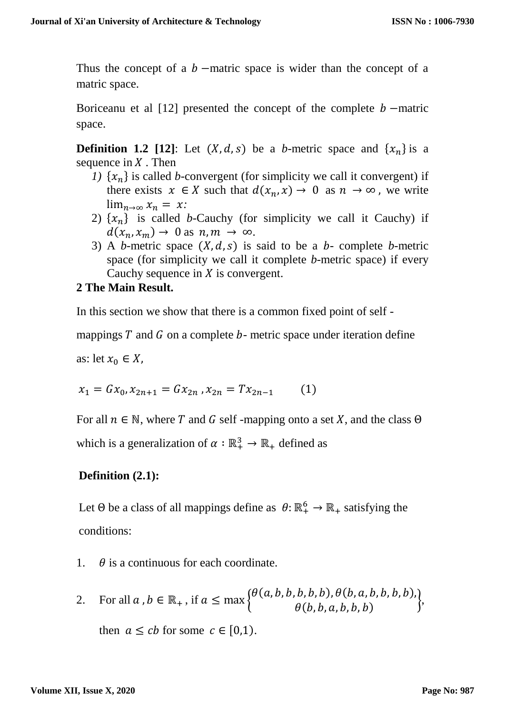Thus the concept of a  $b$  –matric space is wider than the concept of a matric space.

Boriceanu et al [12] presented the concept of the complete  $b$  –matric space.

**Definition 1.2** [12]: Let  $(X, d, s)$  be a *b*-metric space and  $\{x_n\}$  is a sequence in  $X$ . Then

- *1)*  $\{x_n\}$  is called *b*-convergent (for simplicity we call it convergent) if there exists  $x \in X$  such that  $d(x_n, x) \to 0$  as  $n \to \infty$ , we write  $\lim_{n\to\infty} x_n = x$ :
- 2)  $\{x_n\}$  is called *b*-Cauchy (for simplicity we call it Cauchy) if  $d(x_n, x_m) \to 0$  as  $n, m \to \infty$ .
- 3) A *b*-metric space  $(X, d, s)$  is said to be a *b* complete *b*-metric space (for simplicity we call it complete *b*-metric space) if every Cauchy sequence in  $X$  is convergent.

## **2 The Main Result.**

In this section we show that there is a common fixed point of self -

mappings  $T$  and  $G$  on a complete  $b$ - metric space under iteration define

as: let  $x_0 \in X$ ,

$$
x_1 = Gx_0, x_{2n+1} = Gx_{2n}, x_{2n} = Tx_{2n-1}
$$
 (1)

For all  $n \in \mathbb{N}$ , where T and G self -mapping onto a set X, and the class  $\Theta$ which is a generalization of  $\alpha : \mathbb{R}^3_+ \to \mathbb{R}_+$  defined as

# **Definition (2.1):**

Let  $\Theta$  be a class of all mappings define as  $\theta: \mathbb{R}^6_+ \to \mathbb{R}_+$  satisfying the conditions:

- 1.  $\theta$  is a continuous for each coordinate.
- 2. For all  $a, b \in \mathbb{R}_+$ , if  $a \leq \max \{$  $\theta$ (a, b, b, b, b, b),  $\theta$ (b, a, b, b, b, b),  $\theta(b, b, a, b, b, b)$  $\left\{ \right. ,$ then  $a \leq cb$  for some  $c \in [0,1)$ .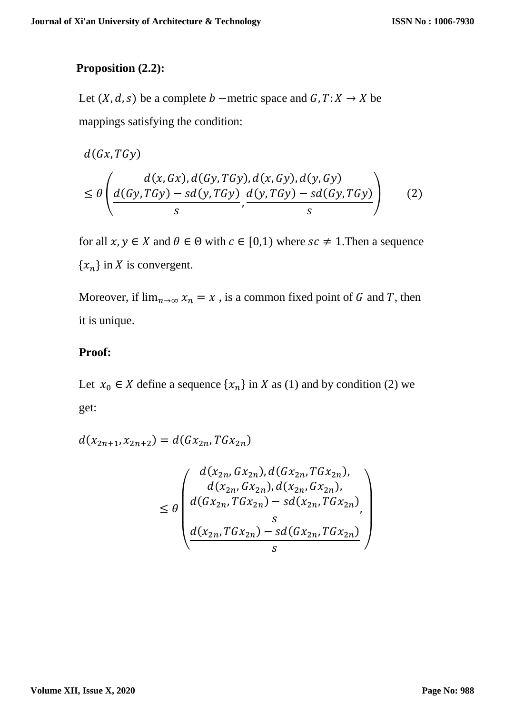## **Proposition (2.2):**

Let  $(X, d, s)$  be a complete  $b$  –metric space and  $G, T: X \rightarrow X$  be mappings satisfying the condition:

$$
d(Gx, TGy)
$$
  
\n
$$
\leq \theta \left( \frac{d(x, Gx), d(Gy, TGy), d(x, Gy), d(y, Gy)}{d(Gy, TGy) - sd(y, TGy)} \frac{d(y, TGy) - sd(Gy, TGy)}{s} \right)
$$
 (2)

for all  $x, y \in X$  and  $\theta \in \Theta$  with  $c \in [0,1)$  where  $sc \neq 1$ . Then a sequence  $\{x_n\}$  in X is convergent.

Moreover, if  $\lim_{n\to\infty} x_n = x$ , is a common fixed point of G and T, then it is unique.

# **Proof:**

Let  $x_0 \in X$  define a sequence  $\{x_n\}$  in X as (1) and by condition (2) we get:

$$
d(x_{2n+1}, x_{2n+2}) = d(Gx_{2n}, TGx_{2n})
$$

$$
\leq \theta \left( \frac{d(x_{2n},Gx_{2n}), d(Gx_{2n},TGx_{2n}),}{d(x_{2n},Gx_{2n}), d(x_{2n},Gx_{2n}),} \right) \\ \leq \theta \left( \frac{d(Gx_{2n},TGx_{2n}) - sd(x_{2n},TGx_{2n})}{s}, \frac{d(x_{2n},TGx_{2n}) - sd(Gx_{2n},TGx_{2n})}{s} \right)
$$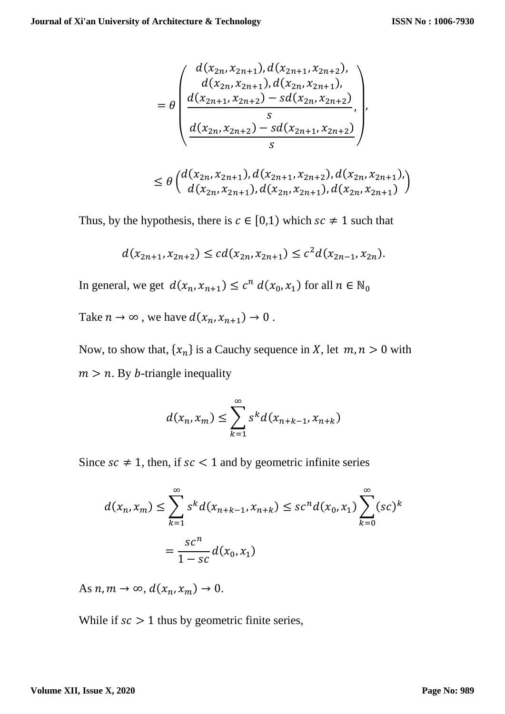)

$$
= \theta \begin{pmatrix} d(x_{2n}, x_{2n+1}), d(x_{2n+1}, x_{2n+2}), \\ d(x_{2n}, x_{2n+1}), d(x_{2n}, x_{2n+1}), \\ \frac{d(x_{2n+1}, x_{2n+2}) - sd(x_{2n}, x_{2n+2})}{s}, \\ \frac{d(x_{2n}, x_{2n+2}) - sd(x_{2n+1}, x_{2n+2})}{s} \end{pmatrix},
$$
  

$$
\leq \theta \begin{pmatrix} d(x_{2n}, x_{2n+1}), d(x_{2n+1}, x_{2n+2}), d(x_{2n}, x_{2n+1}), \\ d(x_{2n}, x_{2n+1}), d(x_{2n}, x_{2n+1}), d(x_{2n}, x_{2n+1}) \end{pmatrix}
$$

Thus, by the hypothesis, there is  $c \in [0,1)$  which  $sc \neq 1$  such that

$$
d(x_{2n+1}, x_{2n+2}) \le cd(x_{2n}, x_{2n+1}) \le c^2 d(x_{2n-1}, x_{2n}).
$$

In general, we get  $d(x_n, x_{n+1}) \le c^n d(x_0, x_1)$  for all  $n \in \mathbb{N}_0$ 

Take  $n \to \infty$ , we have  $d(x_n, x_{n+1}) \to 0$ .

Now, to show that,  $\{x_n\}$  is a Cauchy sequence in X, let  $m, n > 0$  with  $m > n$ . By *b*-triangle inequality

$$
d(x_n, x_m) \le \sum_{k=1}^{\infty} s^k d(x_{n+k-1}, x_{n+k})
$$

Since  $sc \neq 1$ , then, if  $sc < 1$  and by geometric infinite series

$$
d(x_n, x_m) \le \sum_{k=1}^{\infty} s^k d(x_{n+k-1}, x_{n+k}) \le sc^n d(x_0, x_1) \sum_{k=0}^{\infty} (sc)^k
$$
  
= 
$$
\frac{sc^n}{1 - sc} d(x_0, x_1)
$$

As  $n, m \to \infty$ ,  $d(x_n, x_m) \to 0$ .

While if  $\mathit{sc}$  > 1 thus by geometric finite series,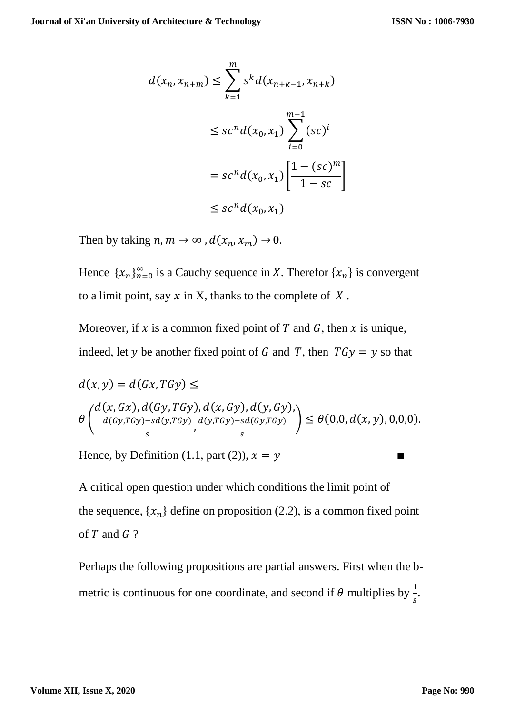$$
d(x_n, x_{n+m}) \le \sum_{k=1}^m s^k d(x_{n+k-1}, x_{n+k})
$$
  

$$
\le sc^n d(x_0, x_1) \sum_{i=0}^{m-1} (sc)^i
$$
  

$$
= sc^n d(x_0, x_1) \left[ \frac{1 - (sc)^m}{1 - sc} \right]
$$
  

$$
\le sc^n d(x_0, x_1)
$$

Then by taking  $n, m \to \infty$ ,  $d(x_n, x_m) \to 0$ .

Hence  $\{x_n\}_{n=0}^{\infty}$  is a Cauchy sequence in X. Therefor  $\{x_n\}$  is convergent to a limit point, say  $x$  in X, thanks to the complete of  $X$ .

Moreover, if x is a common fixed point of T and G, then x is unique, indeed, let y be another fixed point of G and T, then  $T G y = y$  so that

$$
d(x,y) = d(Gx, T Gy) \le
$$
  
\n
$$
\theta\left(\frac{d(x, Gx), d(Gy, T Gy), d(x, Gy), d(y, Gy)}{\frac{d(Gy, T Gy) - sd(y, T Gy)}{s}, \frac{d(y, T Gy) - sd(Gy, T Gy)}{s}}\right) \leq \theta(0,0, d(x,y), 0, 0, 0).
$$

Hence, by Definition (1.1, part (2)),  $x = y$ 

A critical open question under which conditions the limit point of the sequence,  $\{x_n\}$  define on proposition (2.2), is a common fixed point of  $T$  and  $G$  ?

Perhaps the following propositions are partial answers. First when the bmetric is continuous for one coordinate, and second if  $\theta$  multiplies by  $\frac{1}{s}$ .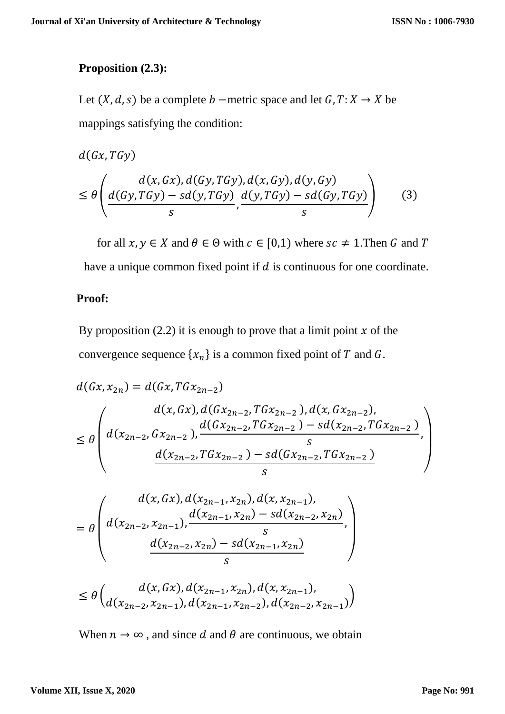#### **Proposition (2.3):**

Let  $(X, d, s)$  be a complete  $b$  –metric space and let  $G, T: X \rightarrow X$  be mappings satisfying the condition:

$$
d(Gx, TGy)
$$
  
\n
$$
\leq \theta \left( \frac{d(x, Gx), d(Gy, TGy), d(x, Gy), d(y, Gy)}{d(Gy, TGy) - sd(y, TGy)} \right)
$$
 (3)

for all  $x, y \in X$  and  $\theta \in \Theta$  with  $c \in [0,1)$  where  $sc \neq 1$ . Then G and T have a unique common fixed point if  $d$  is continuous for one coordinate.

## **Proof:**

By proposition (2.2) it is enough to prove that a limit point  $x$  of the convergence sequence  $\{x_n\}$  is a common fixed point of T and G.

$$
d(Gx, x_{2n}) = d(Gx, TGx_{2n-2})
$$
  
\n
$$
\leq \theta \left( d(x_{2n-2}, Gx_{2n-2}), \frac{d(Gx_{2n-2}, TGx_{2n-2}), d(x, Gx_{2n-2}),}{d(Gx_{2n-2}, TGx_{2n-2}) - sd(x_{2n-2}, TGx_{2n-2})}, \frac{d(x_{2n-2}, TGx_{2n-2}) - sd(x_{2n-2}, TGx_{2n-2})}{s} \right)
$$

$$
= \theta \left( d(x, Gx), d(x_{2n-1}, x_{2n}), d(x, x_{2n-1}),
$$
  
= 
$$
\theta \left( d(x_{2n-2}, x_{2n-1}), \frac{d(x_{2n-1}, x_{2n}) - sd(x_{2n-2}, x_{2n})}{s}, \frac{d(x_{2n-2}, x_{2n}) - sd(x_{2n-1}, x_{2n})}{s} \right)
$$

$$
\leq \theta \binom{d(x, Gx), d(x_{2n-1}, x_{2n}), d(x, x_{2n-1}),}{d(x_{2n-2}, x_{2n-1}), d(x_{2n-1}, x_{2n-2}), d(x_{2n-2}, x_{2n-1})}
$$

When  $n \to \infty$ , and since d and  $\theta$  are continuous, we obtain

#### **Volume XII, Issue X, 2020**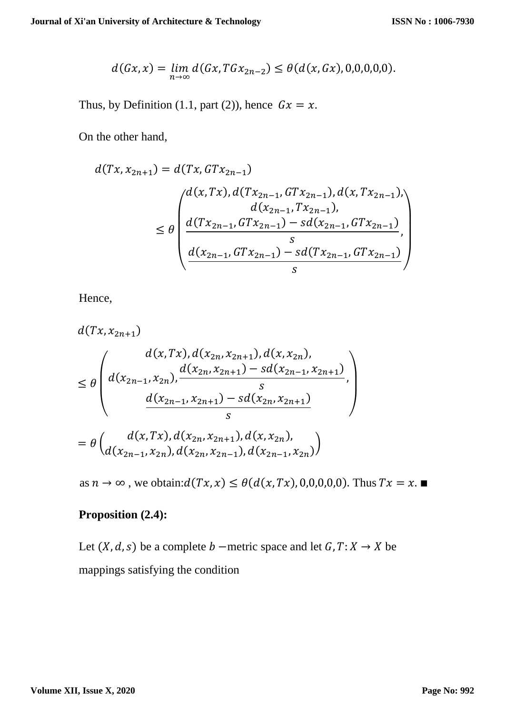$$
d(Gx,x) = \lim_{n \to \infty} d(Gx, TGx_{2n-2}) \leq \theta(d(x,Gx),0,0,0,0,0).
$$

Thus, by Definition (1.1, part (2)), hence  $Gx = x$ .

On the other hand,

$$
d(Tx, x_{2n+1}) = d(Tx, GTx_{2n-1})
$$
  
\n
$$
\leq \theta \left( \frac{d(x, Tx), d(Tx_{2n-1}, GTx_{2n-1}), d(x, Tx_{2n-1}),}{d(x_{2n-1}, Tx_{2n-1}),}
$$
  
\n
$$
\leq \theta \left( \frac{d(Tx_{2n-1}, GTx_{2n-1}) - sd(x_{2n-1}, GTx_{2n-1})}{d(x_{2n-1}, GTx_{2n-1}) - sd(Tx_{2n-1}, GTx_{2n-1})}, \frac{s}{s} \right)
$$

Hence,

$$
d(Tx, x_{2n+1})
$$
  
\n
$$
\leq \theta \left( d(x_{2n-1}, x_{2n}), d(x_{2n}, x_{2n+1}), d(x, x_{2n}),
$$
  
\n
$$
\leq \theta \left( d(x_{2n-1}, x_{2n}), \frac{d(x_{2n}, x_{2n+1}) - sd(x_{2n-1}, x_{2n+1})}{s}, \frac{d(x_{2n-1}, x_{2n+1}) - sd(x_{2n}, x_{2n+1})}{s} \right)
$$
  
\n
$$
= \theta \left( d(x, Tx), d(x_{2n}, x_{2n+1}), d(x, x_{2n}),
$$
  
\n
$$
d(x_{2n-1}, x_{2n}), d(x_{2n}, x_{2n-1}), d(x_{2n-1}, x_{2n}) \right)
$$

as  $n \to \infty$ , we obtain: $d(Tx, x) \leq \theta(d(x, Tx), 0, 0, 0, 0, 0)$ . Thus  $Tx = x$ .

#### **Proposition (2.4):**

Let  $(X, d, s)$  be a complete  $b$  –metric space and let  $G, T: X \rightarrow X$  be mappings satisfying the condition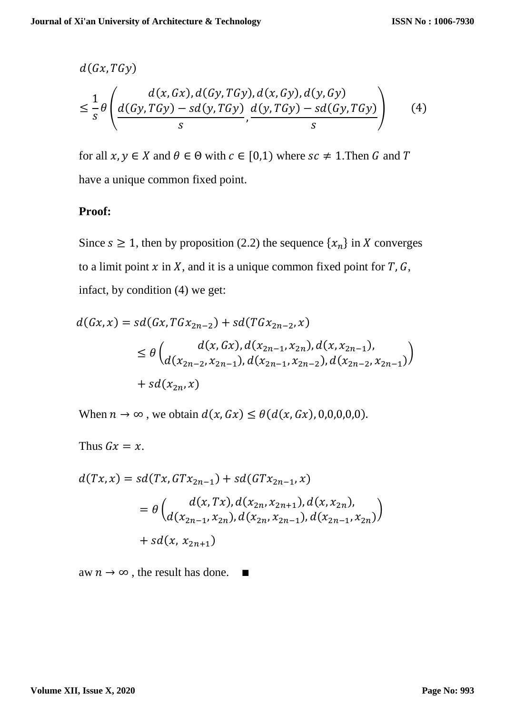$$
d(Gx, TGy)
$$
  
\n
$$
\leq \frac{1}{s} \theta \left( \frac{d(x, Gx), d(Gy, TGy), d(x, Gy), d(y, Gy)}{d(Gy, TGy) - sd(Gy, TGy)} \right)
$$
 (4)

for all  $x, y \in X$  and  $\theta \in \Theta$  with  $c \in [0,1)$  where  $sc \neq 1$ . Then G and T have a unique common fixed point.

#### **Proof:**

Since  $s \ge 1$ , then by proposition (2.2) the sequence  $\{x_n\}$  in X converges to a limit point  $x$  in  $X$ , and it is a unique common fixed point for  $T$ ,  $G$ , infact, by condition (4) we get:

$$
d(Gx, x) = sd(Gx, TGx_{2n-2}) + sd(TGx_{2n-2}, x)
$$
  
\n
$$
\leq \theta \begin{pmatrix} d(x, Gx), d(x_{2n-1}, x_{2n}), d(x, x_{2n-1}), \\ d(x_{2n-2}, x_{2n-1}), d(x_{2n-1}, x_{2n-2}), d(x_{2n-2}, x_{2n-1}) \end{pmatrix}
$$
  
\n
$$
+ sd(x_{2n}, x)
$$

When  $n \to \infty$ , we obtain  $d(x, Gx) \leq \theta(d(x, Gx), 0, 0, 0, 0, 0).$ 

Thus  $Gx = x$ .

$$
d(Tx, x) = sd(Tx, GTx_{2n-1}) + sd(GTx_{2n-1}, x)
$$
  
=  $\theta \begin{pmatrix} d(x, Tx), d(x_{2n}, x_{2n+1}), d(x, x_{2n}), \\ d(x_{2n-1}, x_{2n}), d(x_{2n}, x_{2n-1}), d(x_{2n-1}, x_{2n}) \end{pmatrix}$   
+  $sd(x, x_{2n+1})$ 

aw  $n \to \infty$ , the result has done. ■